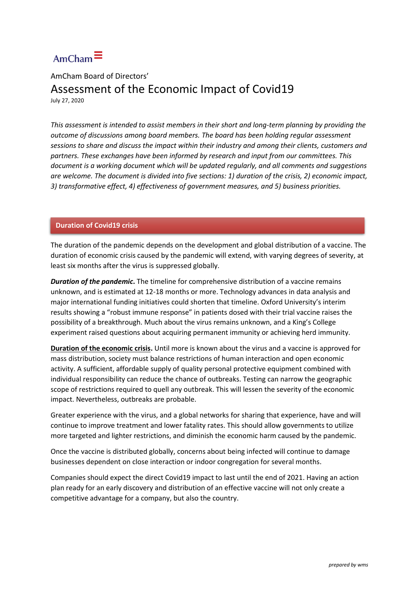## $AmCham$

AmCham Board of Directors'

## Assessment of the Economic Impact of Covid19 July 27, 2020

*This assessment is intended to assist members in their short and long-term planning by providing the outcome of discussions among board members. The board has been holding regular assessment sessions to share and discuss the impact within their industry and among their clients, customers and partners. These exchanges have been informed by research and input from our committees. This document is a working document which will be updated regularly, and all comments and suggestions are welcome. The document is divided into five sections: 1) duration of the crisis, 2) economic impact, 3) transformative effect, 4) effectiveness of government measures, and 5) business priorities.* 

#### **Duration of Covid19 crisis**

The duration of the pandemic depends on the development and global distribution of a vaccine. The duration of economic crisis caused by the pandemic will extend, with varying degrees of severity, at least six months after the virus is suppressed globally.

*Duration of the pandemic***.** The timeline for comprehensive distribution of a vaccine remains unknown, and is estimated at 12-18 months or more. Technology advances in data analysis and major international funding initiatives could shorten that timeline. Oxford University's interim results showing a "robust immune response" in patients dosed with their trial vaccine raises the possibility of a breakthrough. Much about the virus remains unknown, and a King's College experiment raised questions about acquiring permanent immunity or achieving herd immunity.

**Duration of the economic crisis.** Until more is known about the virus and a vaccine is approved for mass distribution, society must balance restrictions of human interaction and open economic activity. A sufficient, affordable supply of quality personal protective equipment combined with individual responsibility can reduce the chance of outbreaks. Testing can narrow the geographic scope of restrictions required to quell any outbreak. This will lessen the severity of the economic impact. Nevertheless, outbreaks are probable.

Greater experience with the virus, and a global networks for sharing that experience, have and will continue to improve treatment and lower fatality rates. This should allow governments to utilize more targeted and lighter restrictions, and diminish the economic harm caused by the pandemic.

Once the vaccine is distributed globally, concerns about being infected will continue to damage businesses dependent on close interaction or indoor congregation for several months.

Companies should expect the direct Covid19 impact to last until the end of 2021. Having an action plan ready for an early discovery and distribution of an effective vaccine will not only create a competitive advantage for a company, but also the country.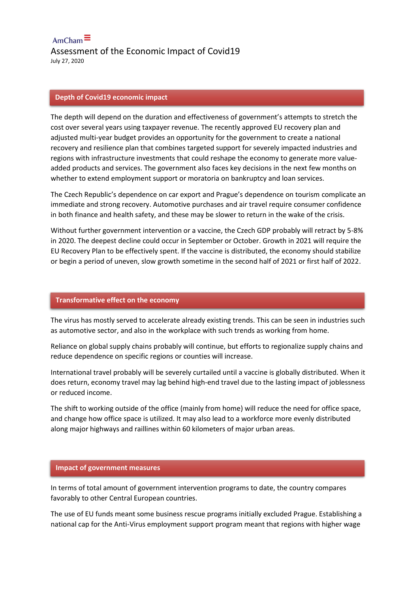$AmCham$  $\equiv$ Assessment of the Economic Impact of Covid19 July 27, 2020

#### **Depth of Covid19 economic impact**

The depth will depend on the duration and effectiveness of government's attempts to stretch the cost over several years using taxpayer revenue. The recently approved EU recovery plan and adjusted multi-year budget provides an opportunity for the government to create a national recovery and resilience plan that combines targeted support for severely impacted industries and regions with infrastructure investments that could reshape the economy to generate more valueadded products and services. The government also faces key decisions in the next few months on whether to extend employment support or moratoria on bankruptcy and loan services.

The Czech Republic's dependence on car export and Prague's dependence on tourism complicate an immediate and strong recovery. Automotive purchases and air travel require consumer confidence in both finance and health safety, and these may be slower to return in the wake of the crisis.

Without further government intervention or a vaccine, the Czech GDP probably will retract by 5-8% in 2020. The deepest decline could occur in September or October. Growth in 2021 will require the EU Recovery Plan to be effectively spent. If the vaccine is distributed, the economy should stabilize or begin a period of uneven, slow growth sometime in the second half of 2021 or first half of 2022.

#### **Transformative effect on the economy**

The virus has mostly served to accelerate already existing trends. This can be seen in industries such as automotive sector, and also in the workplace with such trends as working from home.

Reliance on global supply chains probably will continue, but efforts to regionalize supply chains and reduce dependence on specific regions or counties will increase.

International travel probably will be severely curtailed until a vaccine is globally distributed. When it does return, economy travel may lag behind high-end travel due to the lasting impact of joblessness or reduced income.

The shift to working outside of the office (mainly from home) will reduce the need for office space, and change how office space is utilized. It may also lead to a workforce more evenly distributed along major highways and raillines within 60 kilometers of major urban areas.

#### **Impact of government measures**

In terms of total amount of government intervention programs to date, the country compares favorably to other Central European countries.

The use of EU funds meant some business rescue programs initially excluded Prague. Establishing a national cap for the Anti-Virus employment support program meant that regions with higher wage